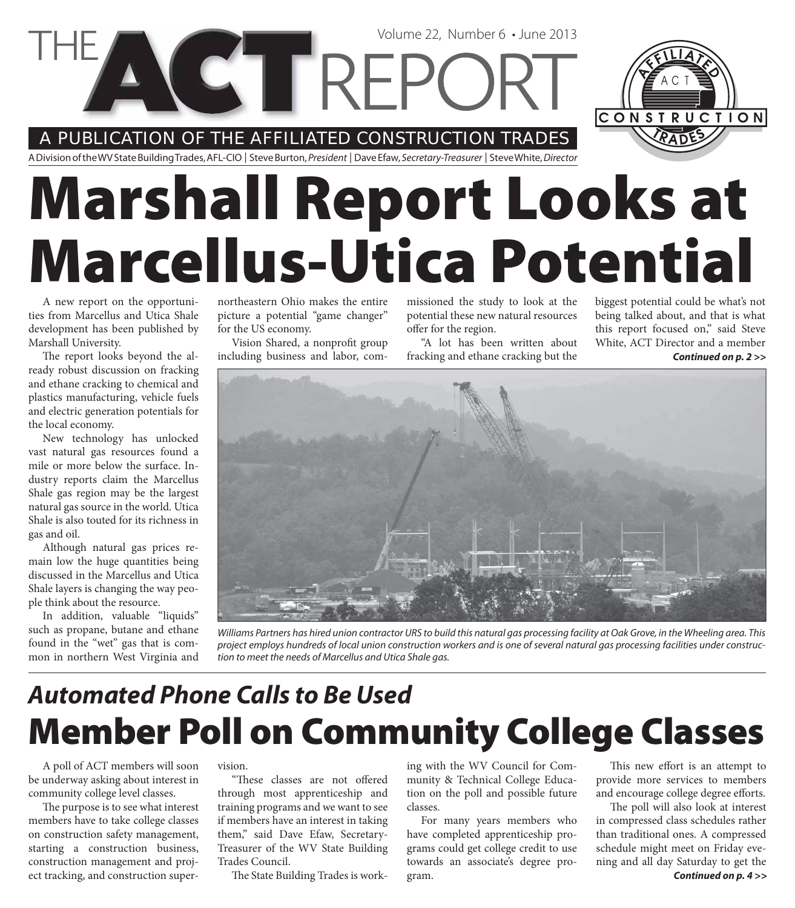A PUBLICATION OF THE AFFILIATED CONSTRUCTION TRADES

**CETTREPC** 

A Division of the WV State Building Trades, AFL-CIO | Steve Burton, President | Dave Efaw, Secretary-Treasurer | Steve White, Director

# **Marshall Report Looks at Marcellus-Utica Potential**

A new report on the opportunities from Marcellus and Utica Shale development has been published by Marshall University.

The report looks beyond the already robust discussion on fracking and ethane cracking to chemical and plastics manufacturing, vehicle fuels and electric generation potentials for the local economy.

New technology has unlocked vast natural gas resources found a mile or more below the surface. Industry reports claim the Marcellus Shale gas region may be the largest natural gas source in the world. Utica Shale is also touted for its richness in gas and oil.

Although natural gas prices remain low the huge quantities being discussed in the Marcellus and Utica Shale layers is changing the way people think about the resource.

In addition, valuable "liquids" such as propane, butane and ethane found in the "wet" gas that is common in northern West Virginia and

northeastern Ohio makes the entire picture a potential "game changer" for the US economy.

Vision Shared, a nonprofit group including business and labor, commissioned the study to look at the potential these new natural resources offer for the region.

Volume 22, Number 6 • June 2013

"A lot has been written about fracking and ethane cracking but the

*Continued on p. 2 >>* biggest potential could be what's not being talked about, and that is what this report focused on," said Steve White, ACT Director and a member

CONSTRUCTION



Williams Partners has hired union contractor URS to build this natural gas processing facility at Oak Grove, in the Wheeling area. This project employs hundreds of local union construction workers and is one of several natural gas processing facilities under construction to meet the needs of Marcellus and Utica Shale gas.

### **Member Poll on Community College Classes** *Automated Phone Calls to Be Used*

A poll of ACT members will soon be underway asking about interest in community college level classes.

The purpose is to see what interest members have to take college classes on construction safety management, starting a construction business, construction management and project tracking, and construction supervision.

"These classes are not offered through most apprenticeship and training programs and we want to see if members have an interest in taking them," said Dave Efaw, Secretary-Treasurer of the WV State Building Trades Council.

The State Building Trades is work-

ing with the WV Council for Community & Technical College Education on the poll and possible future classes.

For many years members who have completed apprenticeship programs could get college credit to use towards an associate's degree program.

This new effort is an attempt to provide more services to members and encourage college degree efforts.

The poll will also look at interest in compressed class schedules rather than traditional ones. A compressed schedule might meet on Friday evening and all day Saturday to get the *Continued on p. 4 >>*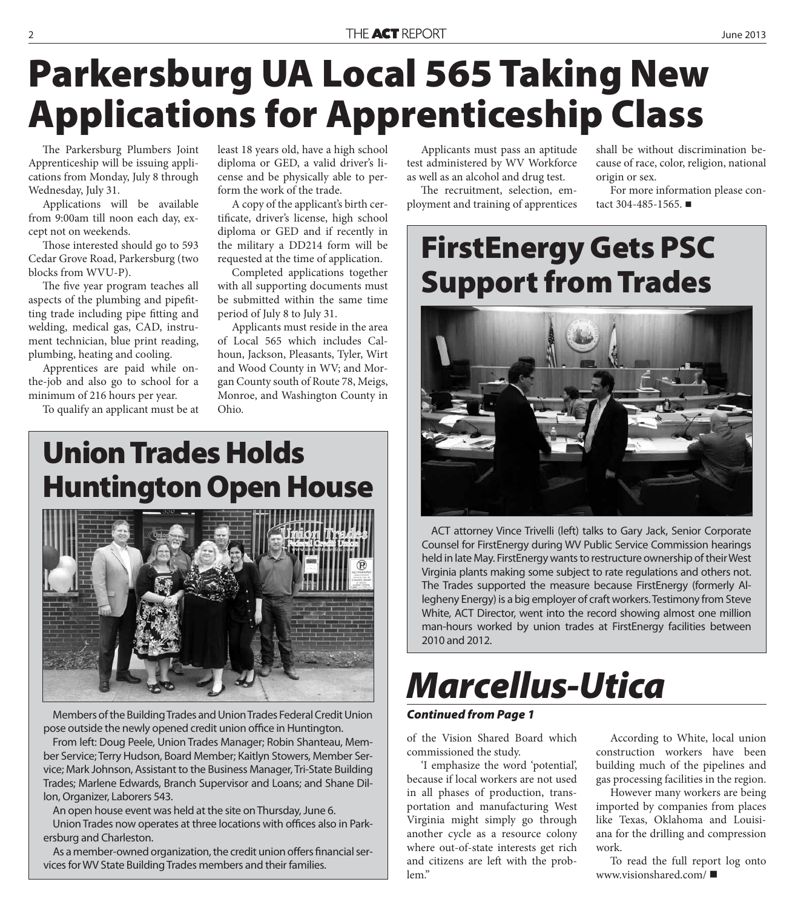#### THE ACT REPORT **2013**

# **Parkersburg UA Local 565 Taking New Applications for Apprenticeship Class**

The Parkersburg Plumbers Joint Apprenticeship will be issuing applications from Monday, July 8 through Wednesday, July 31.

Applications will be available from 9:00am till noon each day, except not on weekends.

Those interested should go to 593 Cedar Grove Road, Parkersburg (two blocks from WVU-P).

The five year program teaches all aspects of the plumbing and pipefitting trade including pipe fitting and welding, medical gas, CAD, instrument technician, blue print reading, plumbing, heating and cooling.

Apprentices are paid while onthe-job and also go to school for a minimum of 216 hours per year.

To qualify an applicant must be at

least 18 years old, have a high school diploma or GED, a valid driver's license and be physically able to perform the work of the trade.

A copy of the applicant's birth certificate, driver's license, high school diploma or GED and if recently in the military a DD214 form will be requested at the time of application.

Completed applications together with all supporting documents must be submitted within the same time period of July 8 to July 31.

Applicants must reside in the area of Local 565 which includes Calhoun, Jackson, Pleasants, Tyler, Wirt and Wood County in WV; and Morgan County south of Route 78, Meigs, Monroe, and Washington County in Ohio.

Applicants must pass an aptitude test administered by WV Workforce as well as an alcohol and drug test.

The recruitment, selection, employment and training of apprentices shall be without discrimination because of race, color, religion, national origin or sex.

For more information please contact 304-485-1565. ■

### **FirstEnergy Gets PSC Support from Trades**



ACT attorney Vince Trivelli (left) talks to Gary Jack, Senior Corporate Counsel for FirstEnergy during WV Public Service Commission hearings held in late May. FirstEnergy wants to restructure ownership of their West Virginia plants making some subject to rate regulations and others not. The Trades supported the measure because FirstEnergy (formerly Allegheny Energy) is a big employer of craft workers. Testimony from Steve White, ACT Director, went into the record showing almost one million man-hours worked by union trades at FirstEnergy facilities between 2010 and 2012.

# *Marcellus-Utica*

#### *Continued from Page 1*

of the Vision Shared Board which commissioned the study.

'I emphasize the word 'potential', because if local workers are not used in all phases of production, transportation and manufacturing West Virginia might simply go through another cycle as a resource colony where out-of-state interests get rich and citizens are left with the problem."

According to White, local union construction workers have been building much of the pipelines and gas processing facilities in the region.

However many workers are being imported by companies from places like Texas, Oklahoma and Louisiana for the drilling and compression work.

To read the full report log onto www.visionshared.com/

#### **Union Trades Holds Huntington Open House**



Members of the Building Trades and Union Trades Federal Credit Union pose outside the newly opened credit union office in Huntington.

From left: Doug Peele, Union Trades Manager; Robin Shanteau, Member Service; Terry Hudson, Board Member; Kaitlyn Stowers, Member Service; Mark Johnson, Assistant to the Business Manager, Tri-State Building Trades; Marlene Edwards, Branch Supervisor and Loans; and Shane Dillon, Organizer, Laborers 543.

An open house event was held at the site on Thursday, June 6.

Union Trades now operates at three locations with offices also in Parkersburg and Charleston.

As a member-owned organization, the credit union offers financial services for WV State Building Trades members and their families.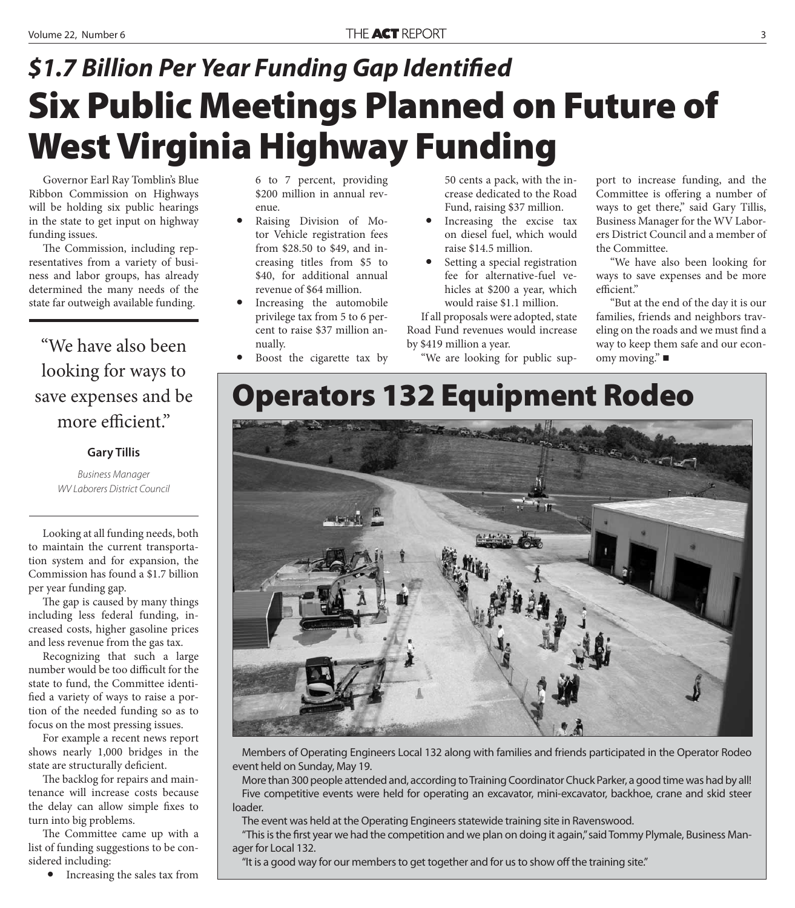## **Six Public Meetings Planned on Future of West Virginia Highway Funding \$1.7 Billion Per Year Funding Gap Identified**

Governor Earl Ray Tomblin's Blue Ribbon Commission on Highways will be holding six public hearings in the state to get input on highway funding issues.

The Commission, including representatives from a variety of business and labor groups, has already determined the many needs of the state far outweigh available funding.

"We have also been looking for ways to save expenses and be more efficient."

#### **Gary Tillis**

Business Manager WV Laborers District Council

Looking at all funding needs, both to maintain the current transportation system and for expansion, the Commission has found a \$1.7 billion per year funding gap.

The gap is caused by many things including less federal funding, increased costs, higher gasoline prices and less revenue from the gas tax.

Recognizing that such a large number would be too difficult for the state to fund, the Committee identified a variety of ways to raise a portion of the needed funding so as to focus on the most pressing issues.

For example a recent news report shows nearly 1,000 bridges in the state are structurally deficient.

The backlog for repairs and maintenance will increase costs because the delay can allow simple fixes to turn into big problems.

The Committee came up with a list of funding suggestions to be considered including:

• Increasing the sales tax from

6 to 7 percent, providing \$200 million in annual revenue.

- Raising Division of Motor Vehicle registration fees from \$28.50 to \$49, and increasing titles from \$5 to \$40, for additional annual revenue of \$64 million.
- Increasing the automobile privilege tax from 5 to 6 percent to raise \$37 million annually.
- Boost the cigarette tax by

50 cents a pack, with the increase dedicated to the Road Fund, raising \$37 million.

- Increasing the excise tax on diesel fuel, which would raise \$14.5 million.
- Setting a special registration fee for alternative-fuel vehicles at \$200 a year, which would raise \$1.1 million.

If all proposals were adopted, state Road Fund revenues would increase by \$419 million a year.

"We are looking for public sup-

port to increase funding, and the Committee is offering a number of ways to get there," said Gary Tillis, Business Manager for the WV Laborers District Council and a member of the Committee.

"We have also been looking for ways to save expenses and be more efficient."

"But at the end of the day it is our families, friends and neighbors traveling on the roads and we must find a way to keep them safe and our economy moving.<sup>"</sup> ■

### **Operators 132 Equipment Rodeo**



Members of Operating Engineers Local 132 along with families and friends participated in the Operator Rodeo event held on Sunday, May 19.

More than 300 people attended and, according to Training Coordinator Chuck Parker, a good time was had by all! Five competitive events were held for operating an excavator, mini-excavator, backhoe, crane and skid steer loader.

The event was held at the Operating Engineers statewide training site in Ravenswood.

"This is the first year we had the competition and we plan on doing it again," said Tommy Plymale, Business Manager for Local 132.

"It is a good way for our members to get together and for us to show off the training site."